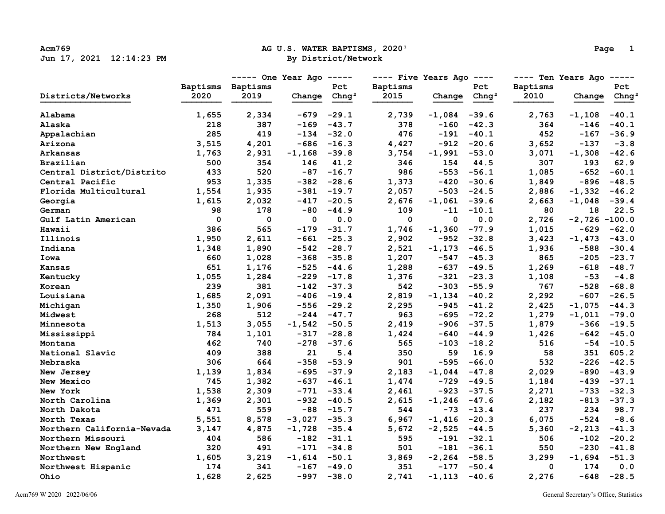## Acm769 **Ag U.S. WATER BAPTISMS, 2020**<sup>1</sup> **Page 1 Page 1 Page 1 Page 1 Page 1**

|                            |             | ----- One Year Ago ----- |                  | $---$ Five Years Ago $---$ |             |                          | ---- Ten Years Ago ----- |          |                  |                   |
|----------------------------|-------------|--------------------------|------------------|----------------------------|-------------|--------------------------|--------------------------|----------|------------------|-------------------|
|                            | Baptisms    | Baptisms                 |                  | Pct                        | Baptisms    |                          | Pct                      | Baptisms |                  | Pct               |
| Districts/Networks         | 2020        | 2019                     | Change           | Chnq <sup>2</sup>          | 2015        | Change Chng <sup>2</sup> |                          | 2010     | Change           | Chng <sup>2</sup> |
| Alabama                    | 1,655       | 2,334                    | -679             | $-29.1$                    | 2,739       | $-1,084$ $-39.6$         |                          | 2,763    | $-1,108$         | $-40.1$           |
| Alaska                     | 218         | 387                      | $-169$           | $-43.7$                    | 378         | $-160$                   | $-42.3$                  | 364      | $-146$           | $-40.1$           |
| Appalachian                | 285         | 419                      |                  | $-134 -32.0$               | 476         |                          | $-191 - 40.1$            | 452      | $-167$           | $-36.9$           |
| Arizona                    | 3,515       | 4,201                    |                  | $-686 - 16.3$              | 4,427       |                          | $-912 -20.6$             | 3,652    | -137             | $-3.8$            |
| Arkansas                   | 1,763       | 2,931                    | $-1,168$ $-39.8$ |                            | 3,754       | $-1,991 -53.0$           |                          | 3,071    | $-1,308 -42.6$   |                   |
| Brazilian                  | 500         | 354                      | 146              | 41.2                       | 346         | 154                      | 44.5                     | 307      | 193              | 62.9              |
| Central District/Distrito  | 433         | 520                      |                  | $-87 - 16.7$               | 986         |                          | $-553 - 56.1$            | 1,085    | -652             | $-60.1$           |
| Central Pacific            | 953         | 1,335                    |                  | $-382 -28.6$               | 1,373       |                          | $-420 - 30.6$            | 1,849    | $-896$           | $-48.5$           |
| Florida Multicultural      | 1,554       | 1,935                    |                  | $-381 - 19.7$              | 2,057       |                          | $-503 -24.5$             | 2,886    | -1,332           | $-46.2$           |
| Georgia                    | 1,615       | 2,032                    | $-417$           | $-20.5$                    | 2,676       | $-1,061 -39.6$           |                          | 2,663    | $-1,048$         | $-39.4$           |
| German                     | 98          | 178                      | -80              | $-44.9$                    | 109         | -11                      | $-10.1$                  | 80       | 18               | 22.5              |
| Gulf Latin American        | $\mathbf 0$ | $\mathbf 0$              | $\mathbf 0$      | 0.0                        | $\mathbf 0$ | $\mathbf 0$              | 0.0                      | 2,726    | $-2,726 - 100.0$ |                   |
| Hawaii                     | 386         | 565                      |                  | $-179 - 31.7$              | 1,746       | $-1,360 -77.9$           |                          | 1,015    | $-629$           | $-62.0$           |
| Illinois                   | 1,950       | 2,611                    | $-661$           | $-25.3$                    | 2,902       |                          | $-952 - 32.8$            | 3,423    | $-1,473$         | $-43.0$           |
| Indiana                    | 1,348       | 1,890                    | $-542$           | $-28.7$                    | 2,521       | $-1,173$ $-46.5$         |                          | 1,936    | -588             | $-30.4$           |
| Iowa                       | 660         | 1,028                    | $-368$           | $-35.8$                    | 1,207       |                          | $-547 - 45.3$            | 865      | $-205$           | $-23.7$           |
| Kansas                     | 651         | 1,176                    |                  | $-525 - 44.6$              | 1,288       |                          | $-637 - 49.5$            | 1,269    | $-618$           | $-48.7$           |
| Kentucky                   | 1,055       | 1,284                    |                  | $-229 -17.8$               | 1,376       |                          | $-321 - 23.3$            | 1,108    | $-53$            | $-4.8$            |
| Korean                     | 239         | 381                      |                  | $-142 - 37.3$              | 542         |                          | $-303 - 55.9$            | 767      | -528             | $-68.8$           |
| Louisiana                  | 1,685       | 2,091                    |                  | $-406 -19.4$               | 2,819       | $-1,134 -40.2$           |                          | 2,292    | $-607$           | $-26.5$           |
| Michigan                   | 1,350       | 1,906                    |                  | $-556 -29.2$               | 2,295       | $-945$                   | $-41.2$                  | 2,425    | $-1,075$         | $-44.3$           |
| Midwest                    | 268         | 512                      |                  | $-244 - 47.7$              | 963         |                          | $-695 - 72.2$            | 1,279    | $-1,011$         | $-79.0$           |
| Minnesota                  | 1,513       | 3,055                    | $-1,542 -50.5$   |                            | 2,419       |                          | $-906 -37.5$             | 1,879    | -366             | $-19.5$           |
| Mississippi                | 784         | 1,101                    |                  | $-317 -28.8$               | 1,424       |                          | $-640 - 44.9$            | 1,426    | $-642$           | $-45.0$           |
| Montana                    | 462         | 740                      |                  | $-278 - 37.6$              | 565         |                          | $-103 -18.2$             | 516      | -54              | $-10.5$           |
| National Slavic            | 409         | 388                      | 21               | 5.4                        | 350         | 59                       | 16.9                     | 58       | 351              | 605.2             |
| Nebraska                   | 306         | 664                      |                  | $-358 - 53.9$              | 901         |                          | $-595 -66.0$             | 532      | $-226$           | $-42.5$           |
| New Jersey                 | 1,139       | 1,834                    | $-695$           | $-37.9$                    | 2,183       | $-1,044$                 | $-47.8$                  | 2,029    | $-890$           | $-43.9$           |
| New Mexico                 | 745         | 1,382                    |                  | $-637 - 46.1$              | 1,474       | $-729$                   | $-49.5$                  | 1,184    | -439             | $-37.1$           |
| New York                   | 1,538       | 2,309                    |                  | $-771 - 33.4$              | 2,461       |                          | $-923 - 37.5$            | 2,271    | $-733$           | $-32.3$           |
| North Carolina             | 1,369       | 2,301                    | $-932$           | $-40.5$                    | 2,615       | $-1, 246 -47.6$          |                          | 2,182    | $-813$           | $-37.3$           |
| North Dakota               | 471         | 559                      |                  | $-88 - 15.7$               | 544         |                          | $-73 - 13.4$             | 237      | 234              | 98.7              |
| North Texas                | 5,551       | 8,578                    | $-3,027 -35.3$   |                            | 6,967       | $-1,416 -20.3$           |                          | 6,075    | -524             | $-8.6$            |
| Northern California-Nevada | 3,147       | 4,875                    | $-1,728$ $-35.4$ |                            | 5,672       | $-2,525 -44.5$           |                          | 5,360    | $-2,213$         | $-41.3$           |
| Northern Missouri          | 404         | 586                      |                  | $-182 - 31.1$              | 595         |                          | $-191 - 32.1$            | 506      | $-102$           | $-20.2$           |
| Northern New England       | 320         | 491                      |                  | $-171 - 34.8$              | 501         |                          | $-181 - 36.1$            | 550      | $-230$           | $-41.8$           |
| Northwest                  | 1,605       | 3,219                    | $-1,614 -50.1$   |                            | 3,869       | $-2, 264 - 58.5$         |                          | 3,299    | $-1,694$         | $-51.3$           |
| Northwest Hispanic         | 174         | 341                      |                  | $-167 - 49.0$              | 351         |                          | $-177 - 50.4$            | 0        | 174              | 0.0               |
| Ohio                       | 1,628       | 2,625                    |                  | $-997 -38.0$               | 2,741       | $-1,113$                 | $-40.6$                  | 2,276    | $-648$           | $-28.5$           |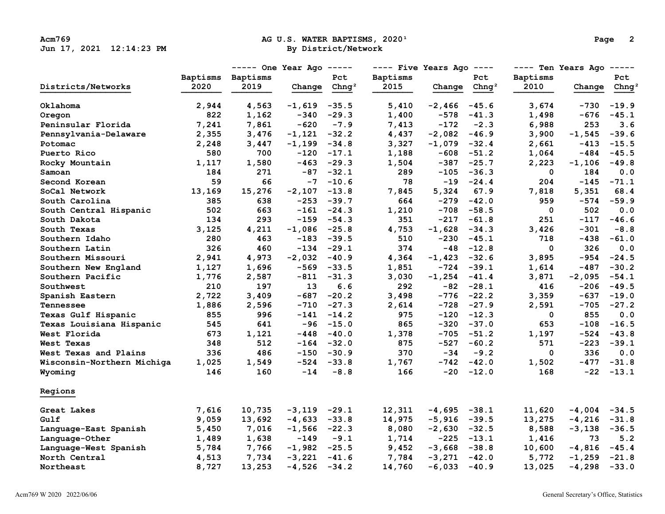## Acm769 **Acm769 AG U.S. WATER BAPTISMS, 2020**<sup>1</sup> **Page 2**<br>  **By District/Network By District(Network**

|                            |          | $---$ One Year Ago $---$ |                  |                   | $---$ Five Years Ago $---$ |                  |                   | ---- Ten Years Ago<br>$------$ |                                                                                                                                                                                                                                                                                                                                                        |                   |
|----------------------------|----------|--------------------------|------------------|-------------------|----------------------------|------------------|-------------------|--------------------------------|--------------------------------------------------------------------------------------------------------------------------------------------------------------------------------------------------------------------------------------------------------------------------------------------------------------------------------------------------------|-------------------|
|                            | Baptisms | Baptisms                 |                  | Pct               | Baptisms                   |                  | Pct               | <b>Baptisms</b>                |                                                                                                                                                                                                                                                                                                                                                        | Pct               |
| Districts/Networks         | 2020     | 2019                     | Change           | Chnq <sup>2</sup> | 2015                       | Change           | Chnq <sup>2</sup> | 2010                           | Change<br>-730<br>$-676$<br>253<br>$-1,545$<br>$-413$<br>-484<br>$-1,106$<br>184<br>$-145$<br>5,351<br>-574<br>502<br>$-117$<br>$-301$<br>$-438$<br>326<br>-954<br>-487<br>$-2,095$<br>-206<br>-637<br>-705<br>855<br>$-108$<br>-524<br>$-223$<br>336<br>$-477$<br>$-22$<br>$-4,004$<br>$-4,216$<br>$-3,138$<br>73<br>$-4,816$<br>$-1,259$<br>$-4,298$ | Chng <sup>2</sup> |
| Oklahoma                   | 2,944    | 4,563                    | -1,619           | $-35.5$           | 5,410                      | $-2,466$ $-45.6$ |                   | 3,674                          |                                                                                                                                                                                                                                                                                                                                                        | $-19.9$           |
| Oregon                     | 822      | 1,162                    | -340             | $-29.3$           | 1,400                      | $-578$           | $-41.3$           | 1,498                          |                                                                                                                                                                                                                                                                                                                                                        | $-45.1$           |
| Peninsular Florida         | 7,241    | 7,861                    | $-620$           | $-7.9$            | 7,413                      | $-172$           | $-2.3$            | 6,988                          |                                                                                                                                                                                                                                                                                                                                                        | 3.6               |
| Pennsylvania-Delaware      | 2,355    | 3,476                    | $-1,121 -32.2$   |                   | 4,437                      | $-2,082 -46.9$   |                   | 3,900                          |                                                                                                                                                                                                                                                                                                                                                        | $-39.6$           |
| Potomac                    | 2,248    | 3,447                    | $-1,199$ $-34.8$ |                   | 3,327                      | $-1,079$ $-32.4$ |                   | 2,661                          |                                                                                                                                                                                                                                                                                                                                                        | $-15.5$           |
| Puerto Rico                | 580      | 700                      |                  | $-120 -17.1$      | 1,188                      |                  | $-608 - 51.2$     | 1,064                          |                                                                                                                                                                                                                                                                                                                                                        | $-45.5$           |
| Rocky Mountain             | 1,117    | 1,580                    |                  | $-463 -29.3$      | 1,504                      |                  | $-387 -25.7$      | 2,223                          |                                                                                                                                                                                                                                                                                                                                                        | $-49.8$           |
| Samoan                     | 184      | 271                      |                  | $-87 - 32.1$      | 289                        |                  | $-105 - 36.3$     | $\mathbf 0$                    |                                                                                                                                                                                                                                                                                                                                                        | 0.0               |
| Second Korean              | 59       | 66                       |                  | $-7 - 10.6$       | 78                         |                  | $-19 - 24.4$      | 204                            |                                                                                                                                                                                                                                                                                                                                                        | $-71.1$           |
| SoCal Network              | 13,169   | 15,276                   | -2,107           | $-13.8$           | 7,845                      | 5,324            | 67.9              | 7,818                          |                                                                                                                                                                                                                                                                                                                                                        | 68.4              |
| South Carolina             | 385      | 638                      |                  | $-253 - 39.7$     | 664                        |                  | $-279 - 42.0$     | 959                            |                                                                                                                                                                                                                                                                                                                                                        | $-59.9$           |
| South Central Hispanic     | 502      | 663                      |                  | $-161 -24.3$      | 1,210                      | $-708$           | $-58.5$           | 0                              |                                                                                                                                                                                                                                                                                                                                                        | 0.0               |
| South Dakota               | 134      | 293                      |                  | $-159 - 54.3$     | 351                        |                  | $-217 - 61.8$     | 251                            |                                                                                                                                                                                                                                                                                                                                                        | $-46.6$           |
| South Texas                | 3,125    | 4,211                    | $-1,086 -25.8$   |                   | 4,753                      | $-1,628 -34.3$   |                   | 3,426                          |                                                                                                                                                                                                                                                                                                                                                        | $-8.8$            |
| Southern Idaho             | 280      | 463                      |                  | $-183 - 39.5$     | 510                        |                  | $-230 - 45.1$     | 718                            |                                                                                                                                                                                                                                                                                                                                                        | $-61.0$           |
| Southern Latin             | 326      | 460                      |                  | $-134 -29.1$      | 374                        |                  | $-48 - 12.8$      | 0                              |                                                                                                                                                                                                                                                                                                                                                        | 0.0               |
| Southern Missouri          | 2,941    | 4,973                    | $-2,032 -40.9$   |                   | 4,364                      | $-1,423 -32.6$   |                   | 3,895                          |                                                                                                                                                                                                                                                                                                                                                        | $-24.5$           |
| Southern New England       | 1,127    | 1,696                    |                  | $-569 -33.5$      | 1,851                      |                  | $-724 - 39.1$     | 1,614                          |                                                                                                                                                                                                                                                                                                                                                        | $-30.2$           |
| Southern Pacific           | 1,776    | 2,587                    |                  | $-811 - 31.3$     | 3,030                      | $-1,254 -41.4$   |                   | 3,871                          |                                                                                                                                                                                                                                                                                                                                                        | $-54.1$           |
| Southwest                  | 210      | 197                      | 13 <sup>7</sup>  | 6.6               | 292                        |                  | $-82 - 28.1$      | 416                            |                                                                                                                                                                                                                                                                                                                                                        | $-49.5$           |
| Spanish Eastern            | 2,722    | 3,409                    |                  | $-687 - 20.2$     | 3,498                      |                  | $-776 - 22.2$     | 3,359                          |                                                                                                                                                                                                                                                                                                                                                        | $-19.0$           |
| Tennessee                  | 1,886    | 2,596                    | $-710$           | $-27.3$           | 2,614                      |                  | $-728 - 27.9$     | 2,591                          |                                                                                                                                                                                                                                                                                                                                                        | $-27.2$           |
| Texas Gulf Hispanic        | 855      | 996                      | $-141$           | $-14.2$           | 975                        |                  | $-120 - 12.3$     | $\mathbf{0}$                   |                                                                                                                                                                                                                                                                                                                                                        | 0.0               |
| Texas Louisiana Hispanic   | 545      | 641                      | $-96$            | $-15.0$           | 865                        |                  | $-320 -37.0$      | 653                            |                                                                                                                                                                                                                                                                                                                                                        | $-16.5$           |
| West Florida               | 673      | 1,121                    | $-448$           | $-40.0$           | 1,378                      |                  | $-705 - 51.2$     | 1,197                          |                                                                                                                                                                                                                                                                                                                                                        | $-43.8$           |
| West Texas                 | 348      | 512                      |                  | $-164 - 32.0$     | 875                        |                  | $-527 - 60.2$     | 571                            |                                                                                                                                                                                                                                                                                                                                                        | $-39.1$           |
| West Texas and Plains      | 336      | 486                      |                  | $-150 - 30.9$     | 370                        | $-34$            | $-9.2$            | $\mathbf{0}$                   |                                                                                                                                                                                                                                                                                                                                                        | 0.0               |
| Wisconsin-Northern Michiga | 1,025    | 1,549                    |                  | $-524 -33.8$      | 1,767                      |                  | $-742 - 42.0$     | 1,502                          |                                                                                                                                                                                                                                                                                                                                                        | $-31.8$           |
| Wyoming                    | 146      | 160                      | $-14$            | $-8.8$            | 166                        |                  | $-20 -12.0$       | 168                            |                                                                                                                                                                                                                                                                                                                                                        | $-13.1$           |
| Regions                    |          |                          |                  |                   |                            |                  |                   |                                |                                                                                                                                                                                                                                                                                                                                                        |                   |
| Great Lakes                | 7,616    | 10,735                   | $-3,119$ $-29.1$ |                   | 12,311                     | $-4,695 -38.1$   |                   | 11,620                         |                                                                                                                                                                                                                                                                                                                                                        | $-34.5$           |
| Gulf                       | 9,059    | 13,692                   | $-4,633 -33.8$   |                   | 14,975                     | $-5,916 -39.5$   |                   | 13,275                         |                                                                                                                                                                                                                                                                                                                                                        | $-31.8$           |
| Language-East Spanish      | 5,450    | 7,016                    | $-1,566 -22.3$   |                   | 8,080                      | $-2,630 -32.5$   |                   | 8,588                          |                                                                                                                                                                                                                                                                                                                                                        | $-36.5$           |
| Language-Other             | 1,489    | 1,638                    | $-149$           | $-9.1$            | 1,714                      | $-225$           | $-13.1$           | 1,416                          |                                                                                                                                                                                                                                                                                                                                                        | 5.2               |
| Language-West Spanish      | 5,784    | 7,766                    | $-1,982 -25.5$   |                   | 9,452                      | $-3,668$         | $-38.8$           | 10,600                         |                                                                                                                                                                                                                                                                                                                                                        | $-45.4$           |
| North Central              | 4,513    | 7,734                    | $-3,221 -41.6$   |                   | 7,784                      | $-3,271 -42.0$   |                   | 5,772                          |                                                                                                                                                                                                                                                                                                                                                        | $-21.8$           |
| Northeast                  | 8,727    | 13,253                   | $-4,526 -34.2$   |                   | 14,760                     | $-6,033 -40.9$   |                   | 13,025                         |                                                                                                                                                                                                                                                                                                                                                        | $-33.0$           |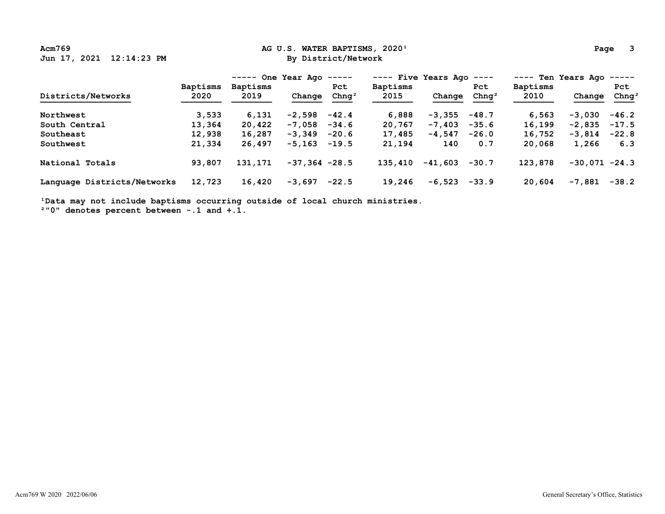## Acm769 **Ag U.S. WATER BAPTISMS, 2020**<sup>1</sup> **Page 3 Page 3 Page 3 Page 3 Page 3**

|                             |                         | One Year Ago<br>------<br>------ |                 |                          |                         | ---- Five Years Ago<br>$- - - - -$ |                          |                         | ---- Ten Years Ago<br>$- - - - - -$ |                          |  |  |
|-----------------------------|-------------------------|----------------------------------|-----------------|--------------------------|-------------------------|------------------------------------|--------------------------|-------------------------|-------------------------------------|--------------------------|--|--|
| Districts/Networks          | <b>Baptisms</b><br>2020 | <b>Baptisms</b><br>2019          | Change          | Pct<br>Chnq <sup>2</sup> | <b>Baptisms</b><br>2015 | Change                             | Pct<br>Chnq <sup>2</sup> | <b>Baptisms</b><br>2010 | Change                              | Pct<br>Chnq <sup>2</sup> |  |  |
| Northwest                   | 3,533                   | 6,131                            | $-2,598$        | $-42.4$                  | 6,888                   | $-3,355$                           | $-48.7$                  | 6,563                   | $-3,030$                            | $-46.2$                  |  |  |
| South Central               | 13,364                  | 20,422                           | $-7.058$        | $-34.6$                  | 20,767                  | $-7,403$                           | $-35.6$                  | 16,199                  | $-2,835$                            | $-17.5$                  |  |  |
| Southeast                   | 12,938                  | 16,287                           | $-3,349$        | $-20.6$                  | 17,485                  | $-4,547$                           | $-26.0$                  | 16,752                  | $-3,814$                            | $-22.8$                  |  |  |
| Southwest                   | 21,334                  | 26,497                           | -5,163          | $-19.5$                  | 21,194                  | 140                                | 0.7                      | 20,068                  | 1,266                               | 6.3                      |  |  |
| National Totals             | 93,807                  | 131,171                          | $-37,364 -28.5$ |                          | 135,410                 | $-41,603$                          | $-30.7$                  | 123,878                 | $-30.071 -24.3$                     |                          |  |  |
| Language Districts/Networks | 12,723                  | 16,420                           | $-3,697$        | $-22.5$                  | 19,246                  | $-6,523$                           | $-33.9$                  | 20,604                  | -7,881                              | $-38.2$                  |  |  |

<sup>1</sup>Data may not include baptisms occurring outside of local church ministries.

 **²"0" denotes percent between -.1 and +.1.**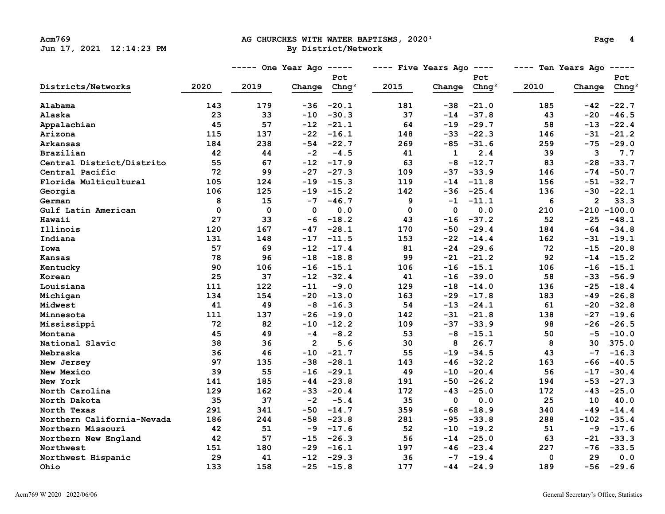# Acm769 **Acm769 AG CHURCHES WITH WATER BAPTISMS, 2020**<sup>1</sup> **Page 4**<br> **By District/Network By District**/Network

|                            |      | ----- One Year Ago |                | $------$          | $---$ Five Years Ago $---$ |             |                   |      | ---- Ten Years Ago<br>$------$ |                   |  |  |
|----------------------------|------|--------------------|----------------|-------------------|----------------------------|-------------|-------------------|------|--------------------------------|-------------------|--|--|
|                            |      |                    |                | Pct               |                            |             | Pct               |      |                                | Pct               |  |  |
| Districts/Networks         | 2020 | 2019               | Change         | Chnq <sup>2</sup> | 2015                       | Change      | Chnq <sup>2</sup> | 2010 | Change                         | Chng <sup>2</sup> |  |  |
| Alabama                    | 143  | 179                | -36            | $-20.1$           | 181                        | $-38$       | $-21.0$           | 185  | $-42$                          | $-22.7$           |  |  |
| Alaska                     | 23   | 33                 | $-10$          | $-30.3$           | 37                         | $-14$       | $-37.8$           | 43   | $-20$                          | $-46.5$           |  |  |
| Appalachian                | 45   | 57                 | $-12$          | $-21.1$           | 64                         | $-19$       | $-29.7$           | 58   | $-13$                          | $-22.4$           |  |  |
| Arizona                    | 115  | 137                | $-22$          | $-16.1$           | 148                        | $-33$       | $-22.3$           | 146  | $-31$                          | $-21.2$           |  |  |
| Arkansas                   | 184  | 238                | $-54$          | $-22.7$           | 269                        | $-85$       | $-31.6$           | 259  | $-75$                          | $-29.0$           |  |  |
| Brazilian                  | 42   | 44                 | $-2$           | $-4.5$            | 41                         | 1           | 2.4               | 39   | 3                              | 7.7               |  |  |
| Central District/Distrito  | 55   | 67                 | $-12$          | $-17.9$           | 63                         | $-8$        | $-12.7$           | 83   | $-28$                          | $-33.7$           |  |  |
| Central Pacific            | 72   | 99                 | $-27$          | $-27.3$           | 109                        | $-37$       | $-33.9$           | 146  | $-74$                          | $-50.7$           |  |  |
| Florida Multicultural      | 105  | 124                | $-19$          | $-15.3$           | 119                        | $-14$       | $-11.8$           | 156  | $-51$                          | $-32.7$           |  |  |
| Georgia                    | 106  | 125                | $-19$          | $-15.2$           | 142                        | -36         | $-25.4$           | 136  | -30                            | $-22.1$           |  |  |
| German                     | 8    | 15                 | $-7$           | $-46.7$           | 9                          | $-1$        | $-11.1$           | 6    | $\overline{2}$                 | 33.3              |  |  |
| Gulf Latin American        | 0    | 0                  | $\Omega$       | 0.0               | $\mathbf 0$                | $\mathbf 0$ | 0.0               | 210  |                                | $-210 - 100.0$    |  |  |
| Hawaii                     | 27   | 33                 | $-6$           | $-18.2$           | 43                         | $-16$       | $-37.2$           | 52   | $-25$                          | $-48.1$           |  |  |
| Illinois                   | 120  | 167                | $-47$          | $-28.1$           | 170                        | $-50$       | $-29.4$           | 184  | $-64$                          | $-34.8$           |  |  |
| Indiana                    | 131  | 148                | $-17$          | $-11.5$           | 153                        | $-22$       | $-14.4$           | 162  | $-31$                          | $-19.1$           |  |  |
| Iowa                       | 57   | 69                 | $-12$          | $-17.4$           | 81                         | $-24$       | $-29.6$           | 72   | $-15$                          | $-20.8$           |  |  |
| Kansas                     | 78   | 96                 | $-18$          | $-18.8$           | 99                         | -21         | $-21.2$           | 92   | $-14$                          | $-15.2$           |  |  |
| Kentucky                   | 90   | 106                | -16            | $-15.1$           | 106                        | $-16$       | $-15.1$           | 106  | $-16$                          | $-15.1$           |  |  |
| Korean                     | 25   | 37                 | $-12$          | $-32.4$           | 41                         | -16         | $-39.0$           | 58   | $-33$                          | $-56.9$           |  |  |
| Louisiana                  | 111  | 122                | $-11$          | $-9.0$            | 129                        | $-18$       | $-14.0$           | 136  | $-25$                          | $-18.4$           |  |  |
| Michigan                   | 134  | 154                | $-20$          | $-13.0$           | 163                        | $-29$       | $-17.8$           | 183  | -49                            | $-26.8$           |  |  |
| Midwest                    | 41   | 49                 | $-8$           | $-16.3$           | 54                         | $-13$       | $-24.1$           | 61   | $-20$                          | $-32.8$           |  |  |
| Minnesota                  | 111  | 137                | -26            | $-19.0$           | 142                        | -31         | $-21.8$           | 138  | $-27$                          | $-19.6$           |  |  |
| Mississippi                | 72   | 82                 | $-10$          | $-12.2$           | 109                        | $-37$       | $-33.9$           | 98   | $-26$                          | $-26.5$           |  |  |
| Montana                    | 45   | 49                 | $-4$           | $-8.2$            | 53                         | $-8$        | $-15.1$           | 50   | $-5$                           | $-10.0$           |  |  |
| National Slavic            | 38   | 36                 | $\overline{2}$ | 5.6               | 30                         | 8           | 26.7              | 8    | 30                             | 375.0             |  |  |
| Nebraska                   | 36   | 46                 | $-10$          | $-21.7$           | 55                         | -19         | $-34.5$           | 43   | $-7$                           | $-16.3$           |  |  |
| New Jersey                 | 97   | 135                | $-38$          | $-28.1$           | 143                        | $-46$       | $-32.2$           | 163  | -66                            | $-40.5$           |  |  |
| New Mexico                 | 39   | 55                 | $-16$          | $-29.1$           | 49                         | $-10$       | $-20.4$           | 56   | $-17$                          | $-30.4$           |  |  |
| New York                   | 141  | 185                | -44            | $-23.8$           | 191                        | -50         | $-26.2$           | 194  | $-53$                          | $-27.3$           |  |  |
| North Carolina             | 129  | 162                | -33            | $-20.4$           | 172                        | -43         | $-25.0$           | 172  | -43                            | $-25.0$           |  |  |
| North Dakota               | 35   | 37                 | $-2$           | $-5.4$            | 35                         | $\mathbf 0$ | 0.0               | 25   | 10                             | 40.0              |  |  |
| North Texas                | 291  | 341                | -50            | $-14.7$           | 359                        | $-68$       | $-18.9$           | 340  | $-49$                          | $-14.4$           |  |  |
| Northern California-Nevada | 186  | 244                | $-58$          | $-23.8$           | 281                        | -95         | $-33.8$           | 288  | $-102$                         | $-35.4$           |  |  |
| Northern Missouri          | 42   | 51                 | -9             | $-17.6$           | 52                         | -10         | $-19.2$           | 51   | -9                             | $-17.6$           |  |  |
| Northern New England       | 42   | 57                 | $-15$          | $-26.3$           | 56                         | $-14$       | $-25.0$           | 63   | $-21$                          | $-33.3$           |  |  |
| Northwest                  | 151  | 180                | $-29$          | $-16.1$           | 197                        | -46         | $-23.4$           | 227  | $-76$                          | $-33.5$           |  |  |
| Northwest Hispanic         | 29   | 41                 | $-12$          | $-29.3$           | 36                         | $-7$        | $-19.4$           | 0    | 29                             | 0.0               |  |  |
| Ohio                       | 133  | 158                | $-25$          | $-15.8$           | 177                        | -44         | $-24.9$           | 189  | $-56$                          | $-29.6$           |  |  |
|                            |      |                    |                |                   |                            |             |                   |      |                                |                   |  |  |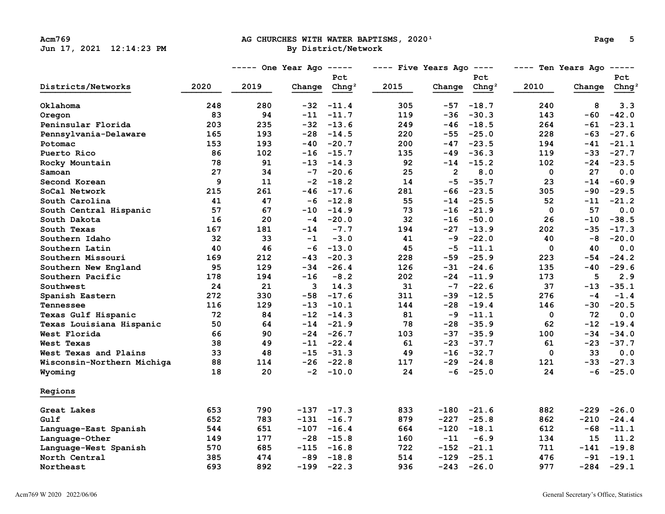# Acm769 **Acm769 AG CHURCHES WITH WATER BAPTISMS, 2020**<sup>1</sup> **Page 5 Page 5 Page 5 Page 9 Page 8 Page 8 Page 8 Page 8 Page 8 Page 8 Page 8 Page 8 Page 8 Page 8 Page 8 Page 8 Page 8 Page 8**

|                            |      | $---$ One Year Ago $---$ |        |                   | $---$ Five Years Ago $---$ |                |                   | ---- Ten Years Ago<br>$- - - - - -$ |        |                   |  |
|----------------------------|------|--------------------------|--------|-------------------|----------------------------|----------------|-------------------|-------------------------------------|--------|-------------------|--|
|                            |      |                          |        | Pct               |                            |                | Pct               |                                     |        | Pct               |  |
| Districts/Networks         | 2020 | 2019                     | Change | Chng <sup>2</sup> | 2015                       | Change         | Chnq <sup>2</sup> | 2010                                | Change | Chng <sup>2</sup> |  |
| Oklahoma                   | 248  | 280                      |        | $-32 - 11.4$      | 305                        | -57            | $-18.7$           | 240                                 | 8      | 3.3               |  |
| Oregon                     | 83   | 94                       | $-11$  | $-11.7$           | 119                        | $-36$          | $-30.3$           | 143                                 | -60    | $-42.0$           |  |
| Peninsular Florida         | 203  | 235                      |        | $-32 -13.6$       | 249                        | $-46$          | $-18.5$           | 264                                 | -61    | $-23.1$           |  |
| Pennsylvania-Delaware      | 165  | 193                      |        | $-28 - 14.5$      | 220                        |                | $-55 - 25.0$      | 228                                 | -63    | $-27.6$           |  |
| Potomac                    | 153  | 193                      | -40    | $-20.7$           | 200                        |                | $-47 - 23.5$      | 194                                 | $-41$  | $-21.1$           |  |
| Puerto Rico                | 86   | 102                      | -16    | $-15.7$           | 135                        | -49            | $-36.3$           | 119                                 | -33    | $-27.7$           |  |
| Rocky Mountain             | 78   | 91                       | $-13$  | $-14.3$           | 92                         |                | $-14 - 15.2$      | 102                                 | $-24$  | $-23.5$           |  |
| Samoan                     | 27   | 34                       | $-7$   | $-20.6$           | 25                         | $\overline{2}$ | 8.0               | 0                                   | 27     | 0.0               |  |
| Second Korean              | 9    | 11                       | $-2$   | $-18.2$           | 14                         | $-5$           | $-35.7$           | 23                                  | $-14$  | $-60.9$           |  |
| SoCal Network              | 215  | 261                      | $-46$  | $-17.6$           | 281                        |                | $-66 -23.5$       | 305                                 | -90    | $-29.5$           |  |
| South Carolina             | 41   | 47                       | $-6$   | $-12.8$           | 55                         |                | $-14 -25.5$       | 52                                  | $-11$  | $-21.2$           |  |
| South Central Hispanic     | 57   | 67                       | $-10$  | $-14.9$           | 73                         | $-16$          | $-21.9$           | 0                                   | 57     | 0.0               |  |
| South Dakota               | 16   | 20                       | $-4$   | $-20.0$           | 32                         | $-16$          | $-50.0$           | 26                                  | $-10$  | $-38.5$           |  |
| South Texas                | 167  | 181                      | -14    | $-7.7$            | 194                        |                | $-27 - 13.9$      | 202                                 | $-35$  | $-17.3$           |  |
| Southern Idaho             | 32   | 33                       | $-1$   | $-3.0$            | 41                         | $-9$           | $-22.0$           | 40                                  | -8     | $-20.0$           |  |
| Southern Latin             | 40   | 46                       | $-6$   | $-13.0$           | 45                         | $-5$           | $-11.1$           | 0                                   | 40     | 0.0               |  |
| Southern Missouri          | 169  | 212                      | $-43$  | $-20.3$           | 228                        | $-59$          | $-25.9$           | 223                                 | $-54$  | $-24.2$           |  |
| Southern New England       | 95   | 129                      | -34    | $-26.4$           | 126                        | $-31$          | $-24.6$           | 135                                 | -40    | $-29.6$           |  |
| Southern Pacific           | 178  | 194                      | $-16$  | $-8.2$            | 202                        | -24            | $-11.9$           | 173                                 | 5      | 2.9               |  |
| Southwest                  | 24   | 21                       | 3      | 14.3              | 31                         |                | $-7 - 22.6$       | 37                                  | $-13$  | $-35.1$           |  |
| Spanish Eastern            | 272  | 330                      | -58    | $-17.6$           | 311                        | $-39$          | $-12.5$           | 276                                 | $-4$   | $-1.4$            |  |
| Tennessee                  | 116  | 129                      | -13    | $-10.1$           | 144                        | -28            | $-19.4$           | 146                                 | -30    | $-20.5$           |  |
| Texas Gulf Hispanic        | 72   | 84                       | $-12$  | $-14.3$           | 81                         | $-9$           | $-11.1$           | 0                                   | 72     | 0.0               |  |
| Texas Louisiana Hispanic   | 50   | 64                       | $-14$  | $-21.9$           | 78                         | $-28$          | $-35.9$           | 62                                  | $-12$  | $-19.4$           |  |
| West Florida               | 66   | 90                       | -24    | $-26.7$           | 103                        |                | $-37 - 35.9$      | 100                                 | -34    | $-34.0$           |  |
| West Texas                 | 38   | 49                       | $-11$  | $-22.4$           | 61                         |                | $-23 - -37.7$     | 61                                  | $-23$  | $-37.7$           |  |
| West Texas and Plains      | 33   | 48                       |        | $-15 - -31.3$     | 49                         |                | $-16 - 32.7$      | 0                                   | 33     | 0.0               |  |
| Wisconsin-Northern Michiga | 88   | 114                      |        | $-26 -22.8$       | 117                        |                | $-29 -24.8$       | 121                                 | $-33$  | $-27.3$           |  |
| Wyoming                    | 18   | 20                       |        | $-2 -10.0$        | 24                         |                | $-6 -25.0$        | 24                                  | -6     | $-25.0$           |  |
| Regions                    |      |                          |        |                   |                            |                |                   |                                     |        |                   |  |
| Great Lakes                | 653  | 790                      |        | $-137 - 17.3$     | 833                        |                | $-180 -21.6$      | 882                                 | $-229$ | $-26.0$           |  |
| Gulf                       | 652  | 783                      | $-131$ | $-16.7$           | 879                        | $-227$         | $-25.8$           | 862                                 | $-210$ | $-24.4$           |  |
| Language-East Spanish      | 544  | 651                      | $-107$ | $-16.4$           | 664                        | $-120$         | $-18.1$           | 612                                 | -68    | $-11.1$           |  |
| Language-Other             | 149  | 177                      | -28    | $-15.8$           | 160                        | $-11$          | $-6.9$            | 134                                 | 15     | 11.2              |  |
| Language-West Spanish      | 570  | 685                      | $-115$ | $-16.8$           | 722                        |                | $-152 -21.1$      | 711                                 | $-141$ | $-19.8$           |  |
| North Central              | 385  | 474                      | -89    | $-18.8$           | 514                        | $-129$         | $-25.1$           | 476                                 | -91    | $-19.1$           |  |
| Northeast                  | 693  | 892                      | $-199$ | $-22.3$           | 936                        | $-243$         | $-26.0$           | 977                                 | $-284$ | $-29.1$           |  |